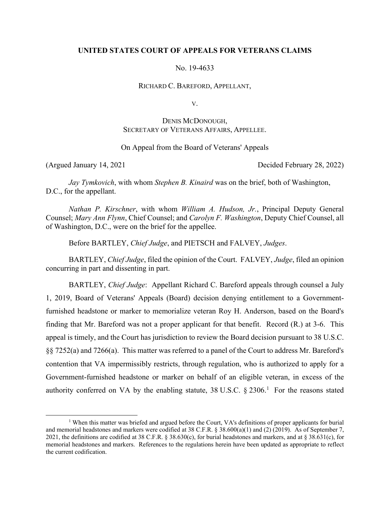## **UNITED STATES COURT OF APPEALS FOR VETERANS CLAIMS**

No. 19-4633

RICHARD C. BAREFORD, APPELLANT,

V.

# DENIS MCDONOUGH, SECRETARY OF VETERANS AFFAIRS, APPELLEE.

## On Appeal from the Board of Veterans' Appeals

(Argued January 14, 2021 Decided February 28, 2022)

*Jay Tymkovich*, with whom *Stephen B. Kinaird* was on the brief, both of Washington, D.C., for the appellant.

*Nathan P. Kirschner*, with whom *William A. Hudson, Jr.*, Principal Deputy General Counsel; *Mary Ann Flynn*, Chief Counsel; and *Carolyn F. Washington*, Deputy Chief Counsel, all of Washington, D.C., were on the brief for the appellee.

Before BARTLEY, *Chief Judge*, and PIETSCH and FALVEY, *Judges*.

BARTLEY, *Chief Judge*, filed the opinion of the Court. FALVEY, *Judge*, filed an opinion concurring in part and dissenting in part.

BARTLEY, *Chief Judge*: Appellant Richard C. Bareford appeals through counsel a July 1, 2019, Board of Veterans' Appeals (Board) decision denying entitlement to a Governmentfurnished headstone or marker to memorialize veteran Roy H. Anderson, based on the Board's finding that Mr. Bareford was not a proper applicant for that benefit. Record (R.) at 3-6. This appeal is timely, and the Court has jurisdiction to review the Board decision pursuant to 38 U.S.C. §§ 7252(a) and 7266(a). This matter was referred to a panel of the Court to address Mr. Bareford's contention that VA impermissibly restricts, through regulation, who is authorized to apply for a Government-furnished headstone or marker on behalf of an eligible veteran, in excess of the authority conferred on VA by the enabling statute,  $38 \text{ U.S.C.}$  §  $2306$ .<sup>1</sup> For the reasons stated

<sup>&</sup>lt;u>1</u> <sup> $1$ </sup> When this matter was briefed and argued before the Court, VA's definitions of proper applicants for burial and memorial headstones and markers were codified at 38 C.F.R. § 38.600(a)(1) and (2) (2019). As of September 7, 2021, the definitions are codified at 38 C.F.R. § 38.630(c), for burial headstones and markers, and at § 38.631(c), for memorial headstones and markers. References to the regulations herein have been updated as appropriate to reflect the current codification.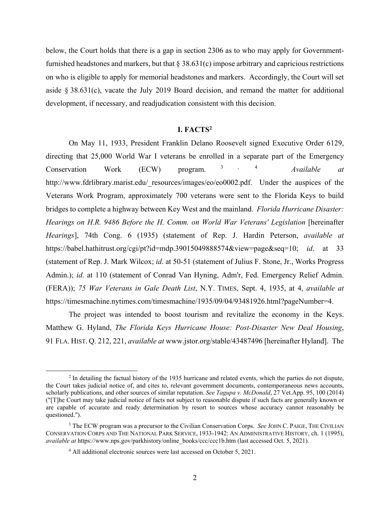below, the Court holds that there is a gap in section 2306 as to who may apply for Governmentfurnished headstones and markers, but that  $\S 38.631(c)$  impose arbitrary and capricious restrictions on who is eligible to apply for memorial headstones and markers. Accordingly, the Court will set aside § 38.631(c), vacate the July 2019 Board decision, and remand the matter for additional development, if necessary, and readjudication consistent with this decision.

## **I. FACTS2**

On May 11, 1933, President Franklin Delano Roosevelt signed Executive Order 6129, directing that 25,000 World War I veterans be enrolled in a separate part of the Emergency Conservation Work (ECW) program. 3 , 4 *Available at* http://www.fdrlibrary.marist.edu/ resources/images/eo/eo0002.pdf. Under the auspices of the Veterans Work Program, approximately 700 veterans were sent to the Florida Keys to build bridges to complete a highway between Key West and the mainland. *Florida Hurricane Disaster: Hearings on H.R. 9486 Before the H. Comm. on World War Veterans' Legislation* [hereinafter *Hearings*], 74th Cong. 6 (1935) (statement of Rep. J. Hardin Peterson, *available at* https://babel.hathitrust.org/cgi/pt?id=mdp.39015049888574&view=page&seq=10; *id*. at 33 (statement of Rep. J. Mark Wilcox; *id*. at 50-51 (statement of Julius F. Stone, Jr., Works Progress Admin.); *id*. at 110 (statement of Conrad Van Hyning, Adm'r, Fed. Emergency Relief Admin. (FERA)); *75 War Veterans in Gale Death List*, N.Y. TIMES, Sept. 4, 1935, at 4, *available at* https://timesmachine.nytimes.com/timesmachine/1935/09/04/93481926.html?pageNumber=4.

The project was intended to boost tourism and revitalize the economy in the Keys. Matthew G. Hyland, *The Florida Keys Hurricane House: Post-Disaster New Deal Housing*, 91 FLA. HIST. Q. 212, 221, *available at* www.jstor.org/stable/43487496 [hereinafter Hyland]. The

 $\begin{array}{c|c}\n\hline\n\text{2}\n\end{array}$ <sup>2</sup> In detailing the factual history of the 1935 hurricane and related events, which the parties do not dispute, the Court takes judicial notice of, and cites to, relevant government documents, contemporaneous news accounts, scholarly publications, and other sources of similar reputation. *See Tagupa v. McDonald*, 27 Vet.App. 95, 100 (2014) ("[T]he Court may take judicial notice of facts not subject to reasonable dispute if such facts are generally known or are capable of accurate and ready determination by resort to sources whose accuracy cannot reasonably be questioned.").

<sup>3</sup> The ECW program was a precursor to the Civilian Conservation Corps. *See* JOHN C. PAIGE, THE CIVILIAN CONSERVATION CORPS AND THE NATIONAL PARK SERVICE, 1933-1942: AN ADMINISTRATIVE HISTORY, ch. 1 (1995), *available at* https://www.nps.gov/parkhistory/online\_books/ccc/ccc1b.htm (last accessed Oct. 5, 2021).

<sup>4</sup> All additional electronic sources were last accessed on October 5, 2021.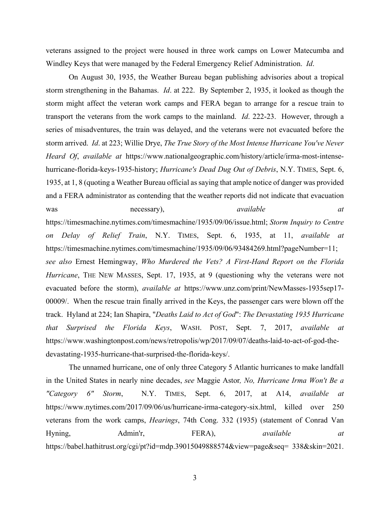veterans assigned to the project were housed in three work camps on Lower Matecumba and Windley Keys that were managed by the Federal Emergency Relief Administration. *Id*.

On August 30, 1935, the Weather Bureau began publishing advisories about a tropical storm strengthening in the Bahamas. *Id*. at 222. By September 2, 1935, it looked as though the storm might affect the veteran work camps and FERA began to arrange for a rescue train to transport the veterans from the work camps to the mainland. *Id*. 222-23. However, through a series of misadventures, the train was delayed, and the veterans were not evacuated before the storm arrived. *Id*. at 223; Willie Drye, *The True Story of the Most Intense Hurricane You've Never Heard Of*, *available at* https://www.nationalgeographic.com/history/article/irma-most-intensehurricane-florida-keys-1935-history; *Hurricane's Dead Dug Out of Debris*, N.Y. TIMES, Sept. 6, 1935, at 1, 8 (quoting a Weather Bureau official as saying that ample notice of danger was provided and a FERA administrator as contending that the weather reports did not indicate that evacuation was necessary), *available at available at at* https://timesmachine.nytimes.com/timesmachine/1935/09/06/issue.html; *Storm Inquiry to Centre on Delay of Relief Train*, N.Y. TIMES, Sept. 6, 1935, at 11, *available at* https://timesmachine.nytimes.com/timesmachine/1935/09/06/93484269.html?pageNumber=11; *see also* Ernest Hemingway, *Who Murdered the Vets? A First-Hand Report on the Florida Hurricane*, THE NEW MASSES, Sept. 17, 1935, at 9 (questioning why the veterans were not evacuated before the storm), *available at* https://www.unz.com/print/NewMasses-1935sep17- 00009/. When the rescue train finally arrived in the Keys, the passenger cars were blown off the track. Hyland at 224; Ian Shapira, "*Deaths Laid to Act of God*": *The Devastating 1935 Hurricane that Surprised the Florida Keys*, WASH. POST, Sept. 7, 2017, *available at* https://www.washingtonpost.com/news/retropolis/wp/2017/09/07/deaths-laid-to-act-of-god-thedevastating-1935-hurricane-that-surprised-the-florida-keys/.

The unnamed hurricane, one of only three Category 5 Atlantic hurricanes to make landfall in the United States in nearly nine decades, *see* Maggie Astor*, No, Hurricane Irma Won't Be a "Category 6" Storm*, N.Y. TIMES, Sept. 6, 2017, at A14, *available at* https://www.nytimes.com/2017/09/06/us/hurricane-irma-category-six.html, killed over 250 veterans from the work camps, *Hearings*, 74th Cong. 332 (1935) (statement of Conrad Van Hyning, Admin'r, FERA), *available at* https://babel.hathitrust.org/cgi/pt?id=mdp.39015049888574&view=page&seq= 338&skin=2021.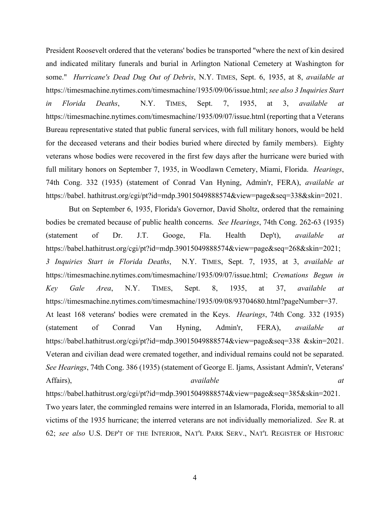President Roosevelt ordered that the veterans' bodies be transported "where the next of kin desired and indicated military funerals and burial in Arlington National Cemetery at Washington for some." *Hurricane's Dead Dug Out of Debris*, N.Y. TIMES, Sept. 6, 1935, at 8, *available at* https://timesmachine.nytimes.com/timesmachine/1935/09/06/issue.html; *see also 3 Inquiries Start in Florida Deaths*, N.Y. TIMES, Sept. 7, 1935, at 3, *available at* https://timesmachine.nytimes.com/timesmachine/1935/09/07/issue.html (reporting that a Veterans Bureau representative stated that public funeral services, with full military honors, would be held for the deceased veterans and their bodies buried where directed by family members). Eighty veterans whose bodies were recovered in the first few days after the hurricane were buried with full military honors on September 7, 1935, in Woodlawn Cemetery, Miami, Florida. *Hearings*, 74th Cong. 332 (1935) (statement of Conrad Van Hyning, Admin'r, FERA), *available at* https://babel. hathitrust.org/cgi/pt?id=mdp.39015049888574&view=page&seq=338&skin=2021.

But on September 6, 1935, Florida's Governor, David Sholtz, ordered that the remaining bodies be cremated because of public health concerns. *See Hearings*, 74th Cong. 262-63 (1935) (statement of Dr. J.T. Googe, Fla. Health Dep't), *available at* https://babel.hathitrust.org/cgi/pt?id=mdp.39015049888574&view=page&seq=268&skin=2021; *3 Inquiries Start in Florida Deaths*, N.Y. TIMES, Sept. 7, 1935, at 3, *available at* https://timesmachine.nytimes.com/timesmachine/1935/09/07/issue.html; *Cremations Begun in Key Gale Area*, N.Y. TIMES, Sept. 8, 1935, at 37, *available at*  https://timesmachine.nytimes.com/timesmachine/1935/09/08/93704680.html?pageNumber=37. At least 168 veterans' bodies were cremated in the Keys. *Hearings*, 74th Cong. 332 (1935) (statement of Conrad Van Hyning, Admin'r, FERA), *available at* https://babel.hathitrust.org/cgi/pt?id=mdp.39015049888574&view=page&seq=338 &skin=2021. Veteran and civilian dead were cremated together, and individual remains could not be separated. *See Hearings*, 74th Cong. 386 (1935) (statement of George E. Ijams, Assistant Admin'r, Veterans' Affairs), available at the *available* at the *at* and *at* and *at* and *at* and *at* and *at* and *at* and *at* and *at* and *at* and *at* and *at* and *at* and *at* and *at* and *at* and *at* and *at* and *at* and *at*

https://babel.hathitrust.org/cgi/pt?id=mdp.39015049888574&view=page&seq=385&skin=2021. Two years later, the commingled remains were interred in an Islamorada, Florida, memorial to all victims of the 1935 hurricane; the interred veterans are not individually memorialized. *See* R. at 62; *see also* U.S. DEP'T OF THE INTERIOR, NAT'L PARK SERV., NAT'L REGISTER OF HISTORIC

4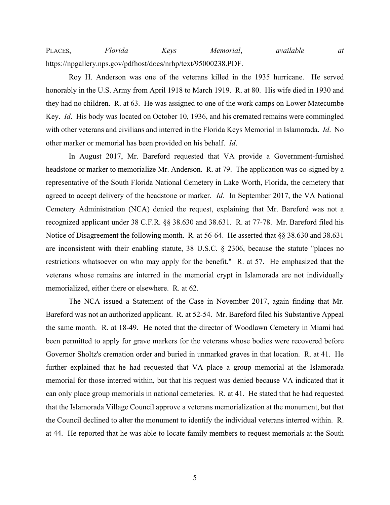PLACES, *Florida Keys Memorial*, *available at* https://npgallery.nps.gov/pdfhost/docs/nrhp/text/95000238.PDF.

Roy H. Anderson was one of the veterans killed in the 1935 hurricane. He served honorably in the U.S. Army from April 1918 to March 1919. R. at 80. His wife died in 1930 and they had no children. R. at 63. He was assigned to one of the work camps on Lower Matecumbe Key. *Id*. His body was located on October 10, 1936, and his cremated remains were commingled with other veterans and civilians and interred in the Florida Keys Memorial in Islamorada. *Id*. No other marker or memorial has been provided on his behalf. *Id*.

In August 2017, Mr. Bareford requested that VA provide a Government-furnished headstone or marker to memorialize Mr. Anderson. R. at 79. The application was co-signed by a representative of the South Florida National Cemetery in Lake Worth, Florida, the cemetery that agreed to accept delivery of the headstone or marker. *Id.* In September 2017, the VA National Cemetery Administration (NCA) denied the request, explaining that Mr. Bareford was not a recognized applicant under 38 C.F.R. §§ 38.630 and 38.631. R. at 77-78. Mr. Bareford filed his Notice of Disagreement the following month. R. at 56-64. He asserted that §§ 38.630 and 38.631 are inconsistent with their enabling statute, 38 U.S.C. § 2306, because the statute "places no restrictions whatsoever on who may apply for the benefit." R. at 57. He emphasized that the veterans whose remains are interred in the memorial crypt in Islamorada are not individually memorialized, either there or elsewhere. R. at 62.

The NCA issued a Statement of the Case in November 2017, again finding that Mr. Bareford was not an authorized applicant. R. at 52-54. Mr. Bareford filed his Substantive Appeal the same month. R. at 18-49. He noted that the director of Woodlawn Cemetery in Miami had been permitted to apply for grave markers for the veterans whose bodies were recovered before Governor Sholtz's cremation order and buried in unmarked graves in that location. R. at 41. He further explained that he had requested that VA place a group memorial at the Islamorada memorial for those interred within, but that his request was denied because VA indicated that it can only place group memorials in national cemeteries. R. at 41. He stated that he had requested that the Islamorada Village Council approve a veterans memorialization at the monument, but that the Council declined to alter the monument to identify the individual veterans interred within. R. at 44. He reported that he was able to locate family members to request memorials at the South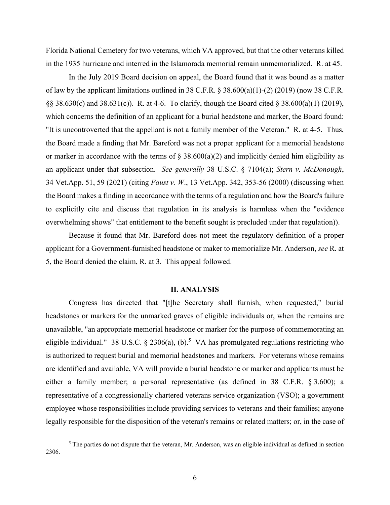Florida National Cemetery for two veterans, which VA approved, but that the other veterans killed in the 1935 hurricane and interred in the Islamorada memorial remain unmemorialized. R. at 45.

In the July 2019 Board decision on appeal, the Board found that it was bound as a matter of law by the applicant limitations outlined in 38 C.F.R. § 38.600(a)(1)-(2) (2019) (now 38 C.F.R. §§ 38.630(c) and 38.631(c)). R. at 4-6. To clarify, though the Board cited § 38.600(a)(1) (2019), which concerns the definition of an applicant for a burial headstone and marker, the Board found: "It is uncontroverted that the appellant is not a family member of the Veteran." R. at 4-5. Thus, the Board made a finding that Mr. Bareford was not a proper applicant for a memorial headstone or marker in accordance with the terms of  $\S$  38.600(a)(2) and implicitly denied him eligibility as an applicant under that subsection. *See generally* 38 U.S.C. § 7104(a); *Stern v. McDonough*, 34 Vet.App. 51, 59 (2021) (citing *Faust v. W*., 13 Vet.App. 342, 353-56 (2000) (discussing when the Board makes a finding in accordance with the terms of a regulation and how the Board's failure to explicitly cite and discuss that regulation in its analysis is harmless when the "evidence overwhelming shows" that entitlement to the benefit sought is precluded under that regulation)).

Because it found that Mr. Bareford does not meet the regulatory definition of a proper applicant for a Government-furnished headstone or maker to memorialize Mr. Anderson, *see* R. at 5, the Board denied the claim, R. at 3. This appeal followed.

### **II. ANALYSIS**

Congress has directed that "[t]he Secretary shall furnish, when requested," burial headstones or markers for the unmarked graves of eligible individuals or, when the remains are unavailable, "an appropriate memorial headstone or marker for the purpose of commemorating an eligible individual." 38 U.S.C. § 2306(a), (b).<sup>5</sup> VA has promulgated regulations restricting who is authorized to request burial and memorial headstones and markers. For veterans whose remains are identified and available, VA will provide a burial headstone or marker and applicants must be either a family member; a personal representative (as defined in 38 C.F.R. § 3.600); a representative of a congressionally chartered veterans service organization (VSO); a government employee whose responsibilities include providing services to veterans and their families; anyone legally responsible for the disposition of the veteran's remains or related matters; or, in the case of

 $rac{1}{5}$  $<sup>5</sup>$  The parties do not dispute that the veteran, Mr. Anderson, was an eligible individual as defined in section</sup> 2306.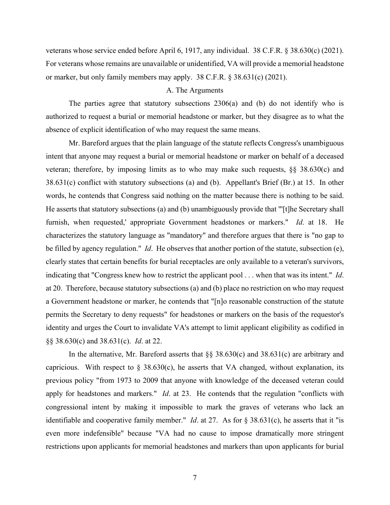veterans whose service ended before April 6, 1917, any individual. 38 C.F.R. § 38.630(c) (2021). For veterans whose remains are unavailable or unidentified, VA will provide a memorial headstone or marker, but only family members may apply. 38 C.F.R. § 38.631(c) (2021).

#### A. The Arguments

The parties agree that statutory subsections 2306(a) and (b) do not identify who is authorized to request a burial or memorial headstone or marker, but they disagree as to what the absence of explicit identification of who may request the same means.

Mr. Bareford argues that the plain language of the statute reflects Congress's unambiguous intent that anyone may request a burial or memorial headstone or marker on behalf of a deceased veteran; therefore, by imposing limits as to who may make such requests, §§ 38.630(c) and 38.631(c) conflict with statutory subsections (a) and (b). Appellant's Brief (Br.) at 15. In other words, he contends that Congress said nothing on the matter because there is nothing to be said. He asserts that statutory subsections (a) and (b) unambiguously provide that "'[t]he Secretary shall furnish, when requested,' appropriate Government headstones or markers." *Id*. at 18. He characterizes the statutory language as "mandatory" and therefore argues that there is "no gap to be filled by agency regulation." *Id*. He observes that another portion of the statute, subsection (e), clearly states that certain benefits for burial receptacles are only available to a veteran's survivors, indicating that "Congress knew how to restrict the applicant pool . . . when that was its intent." *Id*. at 20. Therefore, because statutory subsections (a) and (b) place no restriction on who may request a Government headstone or marker, he contends that "[n]o reasonable construction of the statute permits the Secretary to deny requests" for headstones or markers on the basis of the requestor's identity and urges the Court to invalidate VA's attempt to limit applicant eligibility as codified in §§ 38.630(c) and 38.631(c). *Id*. at 22.

In the alternative, Mr. Bareford asserts that §§ 38.630(c) and 38.631(c) are arbitrary and capricious. With respect to  $\S$  38.630(c), he asserts that VA changed, without explanation, its previous policy "from 1973 to 2009 that anyone with knowledge of the deceased veteran could apply for headstones and markers." *Id*. at 23. He contends that the regulation "conflicts with congressional intent by making it impossible to mark the graves of veterans who lack an identifiable and cooperative family member." *Id*. at 27. As for § 38.631(c), he asserts that it "is even more indefensible" because "VA had no cause to impose dramatically more stringent restrictions upon applicants for memorial headstones and markers than upon applicants for burial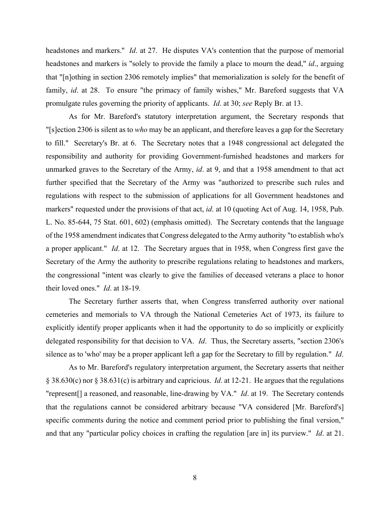headstones and markers.'' *Id*. at 27. He disputes VA's contention that the purpose of memorial headstones and markers is "solely to provide the family a place to mourn the dead," *id*., arguing that "[n]othing in section 2306 remotely implies" that memorialization is solely for the benefit of family, *id*. at 28. To ensure "the primacy of family wishes," Mr. Bareford suggests that VA promulgate rules governing the priority of applicants. *Id*. at 30; *see* Reply Br. at 13.

As for Mr. Bareford's statutory interpretation argument, the Secretary responds that "[s]ection 2306 is silent as to *who* may be an applicant, and therefore leaves a gap for the Secretary to fill." Secretary's Br. at 6. The Secretary notes that a 1948 congressional act delegated the responsibility and authority for providing Government-furnished headstones and markers for unmarked graves to the Secretary of the Army, *id*. at 9, and that a 1958 amendment to that act further specified that the Secretary of the Army was "authorized to prescribe such rules and regulations with respect to the submission of applications for all Government headstones and markers" requested under the provisions of that act, *id*. at 10 (quoting Act of Aug. 14, 1958, Pub. L. No. 85-644, 75 Stat. 601, 602) (emphasis omitted). The Secretary contends that the language of the 1958 amendment indicates that Congress delegated to the Army authority "to establish who's a proper applicant." *Id*. at 12. The Secretary argues that in 1958, when Congress first gave the Secretary of the Army the authority to prescribe regulations relating to headstones and markers, the congressional "intent was clearly to give the families of deceased veterans a place to honor their loved ones." *Id*. at 18-19.

The Secretary further asserts that, when Congress transferred authority over national cemeteries and memorials to VA through the National Cemeteries Act of 1973, its failure to explicitly identify proper applicants when it had the opportunity to do so implicitly or explicitly delegated responsibility for that decision to VA. *Id*. Thus, the Secretary asserts, "section 2306's silence as to 'who' may be a proper applicant left a gap for the Secretary to fill by regulation." *Id*.

As to Mr. Bareford's regulatory interpretation argument, the Secretary asserts that neither § 38.630(c) nor § 38.631(c) is arbitrary and capricious. *Id*. at 12-21. He argues that the regulations "represent[] a reasoned, and reasonable, line-drawing by VA." *Id*. at 19. The Secretary contends that the regulations cannot be considered arbitrary because "VA considered [Mr. Bareford's] specific comments during the notice and comment period prior to publishing the final version," and that any "particular policy choices in crafting the regulation [are in] its purview." *Id*. at 21.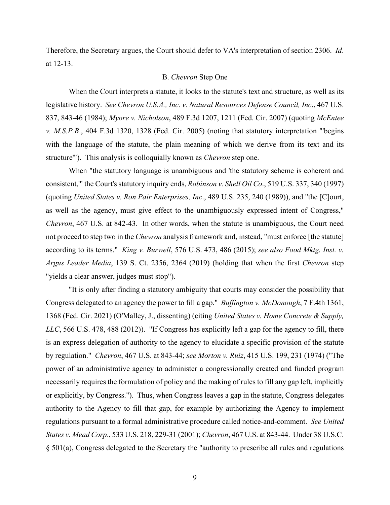Therefore, the Secretary argues, the Court should defer to VA's interpretation of section 2306. *Id*. at 12-13.

### B. *Chevron* Step One

When the Court interprets a statute, it looks to the statute's text and structure, as well as its legislative history. *See Chevron U.S.A., Inc. v. Natural Resources Defense Council, Inc*., 467 U.S. 837, 843-46 (1984); *Myore v. Nicholson*, 489 F.3d 1207, 1211 (Fed. Cir. 2007) (quoting *McEntee v. M.S.P.B*., 404 F.3d 1320, 1328 (Fed. Cir. 2005) (noting that statutory interpretation "'begins with the language of the statute, the plain meaning of which we derive from its text and its structure'"). This analysis is colloquially known as *Chevron* step one.

When "the statutory language is unambiguous and 'the statutory scheme is coherent and consistent,'" the Court's statutory inquiry ends, *Robinson v. Shell Oil Co*., 519 U.S. 337, 340 (1997) (quoting *United States v. Ron Pair Enterprises, Inc*., 489 U.S. 235, 240 (1989)), and "the [C]ourt, as well as the agency, must give effect to the unambiguously expressed intent of Congress," *Chevron*, 467 U.S. at 842-43. In other words, when the statute is unambiguous, the Court need not proceed to step two in the *Chevron* analysis framework and, instead, "must enforce [the statute] according to its terms." *King v. Burwell*, 576 U.S. 473, 486 (2015); *see also Food Mktg. Inst. v. Argus Leader Media*, 139 S. Ct. 2356, 2364 (2019) (holding that when the first *Chevron* step "yields a clear answer, judges must stop").

"It is only after finding a statutory ambiguity that courts may consider the possibility that Congress delegated to an agency the power to fill a gap." *Buffington v. McDonough*, 7 F.4th 1361, 1368 (Fed. Cir. 2021) (O'Malley, J., dissenting) (citing *United States v. Home Concrete & Supply, LLC*, 566 U.S. 478, 488 (2012)). "If Congress has explicitly left a gap for the agency to fill, there is an express delegation of authority to the agency to elucidate a specific provision of the statute by regulation." *Chevron*, 467 U.S. at 843-44; *see Morton v. Ruiz*, 415 U.S. 199, 231 (1974) ("The power of an administrative agency to administer a congressionally created and funded program necessarily requires the formulation of policy and the making of rules to fill any gap left, implicitly or explicitly, by Congress."). Thus, when Congress leaves a gap in the statute, Congress delegates authority to the Agency to fill that gap, for example by authorizing the Agency to implement regulations pursuant to a formal administrative procedure called notice-and-comment. *See United States v. Mead Corp*., 533 U.S. 218, 229-31 (2001); *Chevron*, 467 U.S. at 843-44. Under 38 U.S.C. § 501(a), Congress delegated to the Secretary the "authority to prescribe all rules and regulations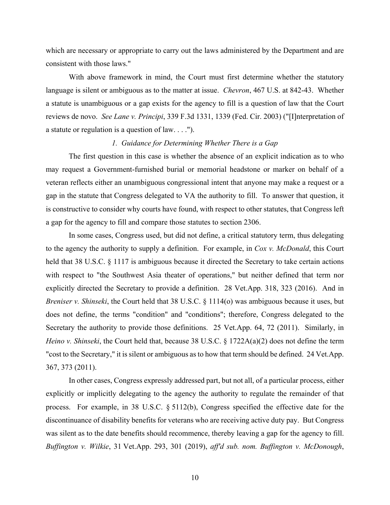which are necessary or appropriate to carry out the laws administered by the Department and are consistent with those laws."

With above framework in mind, the Court must first determine whether the statutory language is silent or ambiguous as to the matter at issue. *Chevron*, 467 U.S. at 842-43. Whether a statute is unambiguous or a gap exists for the agency to fill is a question of law that the Court reviews de novo. *See Lane v. Principi*, 339 F.3d 1331, 1339 (Fed. Cir. 2003) ("[I]nterpretation of a statute or regulation is a question of law. . . .").

#### *1. Guidance for Determining Whether There is a Gap*

The first question in this case is whether the absence of an explicit indication as to who may request a Government-furnished burial or memorial headstone or marker on behalf of a veteran reflects either an unambiguous congressional intent that anyone may make a request or a gap in the statute that Congress delegated to VA the authority to fill. To answer that question, it is constructive to consider why courts have found, with respect to other statutes, that Congress left a gap for the agency to fill and compare those statutes to section 2306.

In some cases, Congress used, but did not define, a critical statutory term, thus delegating to the agency the authority to supply a definition. For example, in *Cox v. McDonald*, this Court held that 38 U.S.C. § 1117 is ambiguous because it directed the Secretary to take certain actions with respect to "the Southwest Asia theater of operations," but neither defined that term nor explicitly directed the Secretary to provide a definition. 28 Vet.App. 318, 323 (2016). And in *Breniser v. Shinseki*, the Court held that 38 U.S.C. § 1114(o) was ambiguous because it uses, but does not define, the terms "condition" and "conditions"; therefore, Congress delegated to the Secretary the authority to provide those definitions. 25 Vet.App. 64, 72 (2011). Similarly, in *Heino v. Shinseki*, the Court held that, because 38 U.S.C. § 1722A(a)(2) does not define the term "cost to the Secretary," it is silent or ambiguous as to how that term should be defined. 24 Vet.App. 367, 373 (2011).

In other cases, Congress expressly addressed part, but not all, of a particular process, either explicitly or implicitly delegating to the agency the authority to regulate the remainder of that process. For example, in 38 U.S.C. § 5112(b), Congress specified the effective date for the discontinuance of disability benefits for veterans who are receiving active duty pay. But Congress was silent as to the date benefits should recommence, thereby leaving a gap for the agency to fill. *Buffington v. Wilkie*, 31 Vet.App. 293, 301 (2019), *aff'd sub. nom. Buffington v. McDonough*,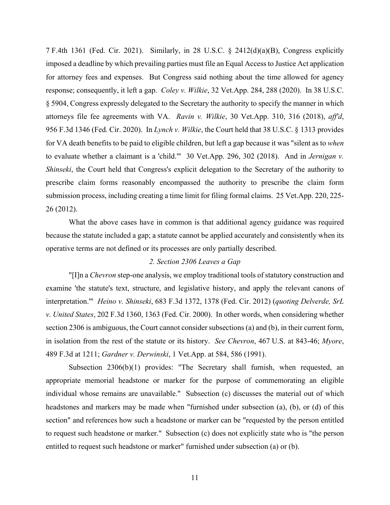7 F.4th 1361 (Fed. Cir. 2021). Similarly, in 28 U.S.C. § 2412(d)(a)(B), Congress explicitly imposed a deadline by which prevailing parties must file an Equal Access to Justice Act application for attorney fees and expenses. But Congress said nothing about the time allowed for agency response; consequently, it left a gap. *Coley v. Wilkie*, 32 Vet.App. 284, 288 (2020). In 38 U.S.C. § 5904, Congress expressly delegated to the Secretary the authority to specify the manner in which attorneys file fee agreements with VA. *Ravin v. Wilkie*, 30 Vet.App. 310, 316 (2018), *aff'd*, 956 F.3d 1346 (Fed. Cir. 2020). In *Lynch v. Wilkie*, the Court held that 38 U.S.C. § 1313 provides for VA death benefits to be paid to eligible children, but left a gap because it was "silent as to *when* to evaluate whether a claimant is a 'child.'" 30 Vet.App. 296, 302 (2018). And in *Jernigan v. Shinseki*, the Court held that Congress's explicit delegation to the Secretary of the authority to prescribe claim forms reasonably encompassed the authority to prescribe the claim form submission process, including creating a time limit for filing formal claims. 25 Vet.App. 220, 225- 26 (2012).

What the above cases have in common is that additional agency guidance was required because the statute included a gap; a statute cannot be applied accurately and consistently when its operative terms are not defined or its processes are only partially described.

### *2. Section 2306 Leaves a Gap*

"[I]n a *Chevron* step-one analysis, we employ traditional tools of statutory construction and examine 'the statute's text, structure, and legislative history, and apply the relevant canons of interpretation.'" *Heino v. Shinseki*, 683 F.3d 1372, 1378 (Fed. Cir. 2012) (*quoting Delverde, SrL v. United States*, 202 F.3d 1360, 1363 (Fed. Cir. 2000). In other words, when considering whether section 2306 is ambiguous, the Court cannot consider subsections (a) and (b), in their current form, in isolation from the rest of the statute or its history. *See Chevron*, 467 U.S. at 843-46; *Myore*, 489 F.3d at 1211; *Gardner v. Derwinski*, 1 Vet.App. at 584, 586 (1991).

Subsection 2306(b)(1) provides: "The Secretary shall furnish, when requested, an appropriate memorial headstone or marker for the purpose of commemorating an eligible individual whose remains are unavailable." Subsection (c) discusses the material out of which headstones and markers may be made when "furnished under subsection (a), (b), or (d) of this section" and references how such a headstone or marker can be "requested by the person entitled to request such headstone or marker." Subsection (c) does not explicitly state who is "the person entitled to request such headstone or marker" furnished under subsection (a) or (b).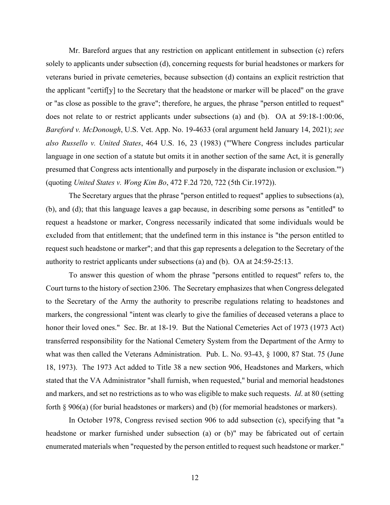Mr. Bareford argues that any restriction on applicant entitlement in subsection (c) refers solely to applicants under subsection (d), concerning requests for burial headstones or markers for veterans buried in private cemeteries, because subsection (d) contains an explicit restriction that the applicant "certif[y] to the Secretary that the headstone or marker will be placed" on the grave or "as close as possible to the grave"; therefore, he argues, the phrase "person entitled to request" does not relate to or restrict applicants under subsections (a) and (b). OA at 59:18-1:00:06, *Bareford v. McDonough*, U.S. Vet. App. No. 19-4633 (oral argument held January 14, 2021); *see also Russello v. United States*, 464 U.S. 16, 23 (1983) ("'Where Congress includes particular language in one section of a statute but omits it in another section of the same Act, it is generally presumed that Congress acts intentionally and purposely in the disparate inclusion or exclusion.'") (quoting *United States v. Wong Kim Bo*, 472 F.2d 720, 722 (5th Cir.1972)).

The Secretary argues that the phrase "person entitled to request" applies to subsections (a), (b), and (d); that this language leaves a gap because, in describing some persons as "entitled" to request a headstone or marker, Congress necessarily indicated that some individuals would be excluded from that entitlement; that the undefined term in this instance is "the person entitled to request such headstone or marker"; and that this gap represents a delegation to the Secretary of the authority to restrict applicants under subsections (a) and (b). OA at 24:59-25:13.

To answer this question of whom the phrase "persons entitled to request" refers to, the Court turns to the history of section 2306. The Secretary emphasizes that when Congress delegated to the Secretary of the Army the authority to prescribe regulations relating to headstones and markers, the congressional "intent was clearly to give the families of deceased veterans a place to honor their loved ones." Sec. Br. at 18-19. But the National Cemeteries Act of 1973 (1973 Act) transferred responsibility for the National Cemetery System from the Department of the Army to what was then called the Veterans Administration. Pub. L. No. 93-43, § 1000, 87 Stat. 75 (June 18, 1973). The 1973 Act added to Title 38 a new section 906, Headstones and Markers, which stated that the VA Administrator "shall furnish, when requested," burial and memorial headstones and markers, and set no restrictions as to who was eligible to make such requests. *Id*. at 80 (setting forth § 906(a) (for burial headstones or markers) and (b) (for memorial headstones or markers).

In October 1978, Congress revised section 906 to add subsection (c), specifying that "a headstone or marker furnished under subsection (a) or (b)" may be fabricated out of certain enumerated materials when "requested by the person entitled to request such headstone or marker."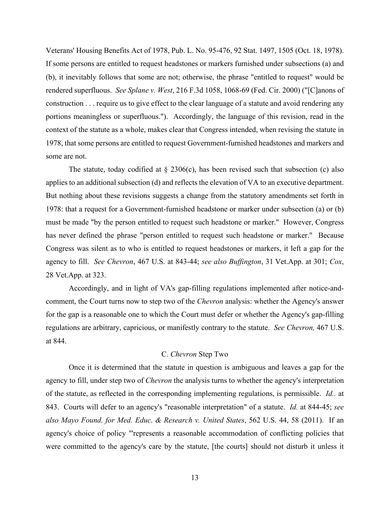Veterans' Housing Benefits Act of 1978, Pub. L. No. 95-476, 92 Stat. 1497, 1505 (Oct. 18, 1978). If some persons are entitled to request headstones or markers furnished under subsections (a) and (b), it inevitably follows that some are not; otherwise, the phrase "entitled to request" would be rendered superfluous. *See Splane v. West*, 216 F.3d 1058, 1068-69 (Fed. Cir. 2000) ("[C]anons of construction . . . require us to give effect to the clear language of a statute and avoid rendering any portions meaningless or superfluous."). Accordingly, the language of this revision, read in the context of the statute as a whole, makes clear that Congress intended, when revising the statute in 1978, that some persons are entitled to request Government-furnished headstones and markers and some are not.

The statute, today codified at  $\S$  2306(c), has been revised such that subsection (c) also applies to an additional subsection (d) and reflects the elevation of VA to an executive department. But nothing about these revisions suggests a change from the statutory amendments set forth in 1978: that a request for a Government-furnished headstone or marker under subsection (a) or (b) must be made "by the person entitled to request such headstone or marker." However, Congress has never defined the phrase "person entitled to request such headstone or marker." Because Congress was silent as to who is entitled to request headstones or markers, it left a gap for the agency to fill. *See Chevron*, 467 U.S. at 843-44; *see also Buffington*, 31 Vet.App. at 301; *Cox*, 28 Vet.App. at 323.

Accordingly, and in light of VA's gap-filling regulations implemented after notice-andcomment, the Court turns now to step two of the *Chevron* analysis: whether the Agency's answer for the gap is a reasonable one to which the Court must defer or whether the Agency's gap-filling regulations are arbitrary, capricious, or manifestly contrary to the statute. *See Chevron,* 467 U.S. at 844.

# C. *Chevron* Step Two

Once it is determined that the statute in question is ambiguous and leaves a gap for the agency to fill, under step two of *Chevron* the analysis turns to whether the agency's interpretation of the statute, as reflected in the corresponding implementing regulations, is permissible. *Id..* at 843. Courts will defer to an agency's "reasonable interpretation" of a statute. *Id.* at 844-45; *see also Mayo Found. for Med. Educ. & Research v. United States*, 562 U.S. 44, 58 (2011). If an agency's choice of policy "'represents a reasonable accommodation of conflicting policies that were committed to the agency's care by the statute, [the courts] should not disturb it unless it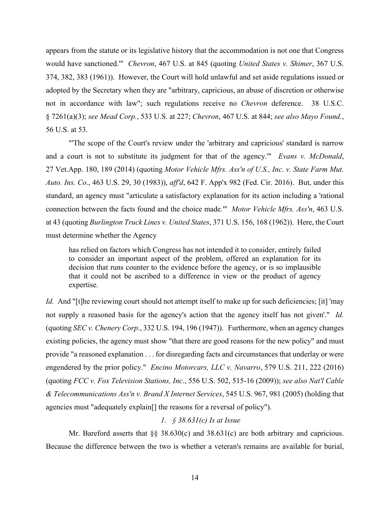appears from the statute or its legislative history that the accommodation is not one that Congress would have sanctioned.'" *Chevron*, 467 U.S. at 845 (quoting *United States v. Shimer*, 367 U.S. 374, 382, 383 (1961)). However, the Court will hold unlawful and set aside regulations issued or adopted by the Secretary when they are "arbitrary, capricious, an abuse of discretion or otherwise not in accordance with law"; such regulations receive no *Chevron* deference. 38 U.S.C. § 7261(a)(3); *see Mead Corp.*, 533 U.S. at 227; *Chevron*, 467 U.S. at 844; *see also Mayo Found.*, 56 U.S. at 53.

"The scope of the Court's review under the 'arbitrary and capricious' standard is narrow and a court is not to substitute its judgment for that of the agency.'" *Evans v. McDonald*, 27 Vet.App. 180, 189 (2014) (quoting *Motor Vehicle Mfrs. Ass'n of U.S., Inc*. *v. State Farm Mut. Auto. Ins. Co*., 463 U.S. 29, 30 (1983)), *aff'd*, 642 F. App'x 982 (Fed. Cir. 2016). But, under this standard, an agency must "articulate a satisfactory explanation for its action including a 'rational connection between the facts found and the choice made.'" *Motor Vehicle Mfrs. Ass'n*, 463 U.S. at 43 (quoting *Burlington Truck Lines v. United States*, 371 U.S. 156, 168 (1962)). Here, the Court must determine whether the Agency

has relied on factors which Congress has not intended it to consider, entirely failed to consider an important aspect of the problem, offered an explanation for its decision that runs counter to the evidence before the agency, or is so implausible that it could not be ascribed to a difference in view or the product of agency expertise.

*Id.* And "[t]he reviewing court should not attempt itself to make up for such deficiencies; [it] 'may not supply a reasoned basis for the agency's action that the agency itself has not given'." *Id.* (quoting *SEC v. Chenery Corp*., 332 U.S. 194, 196 (1947)).Furthermore, when an agency changes existing policies, the agency must show "that there are good reasons for the new policy" and must provide "a reasoned explanation . . . for disregarding facts and circumstances that underlay or were engendered by the prior policy." *Encino Motorcars, LLC v. Navarro*, 579 U.S. 211, 222 (2016) (quoting *FCC v. Fox Television Stations, Inc*., 556 U.S. 502, 515-16 (2009)); *see also Nat'l Cable & Telecommunications Ass'n v. Brand X Internet Services*, 545 U.S. 967, 981 (2005) (holding that agencies must "adequately explain[] the reasons for a reversal of policy").

# *1. § 38.631(c) Is at Issue*

Mr. Bareford asserts that §§ 38.630(c) and 38.631(c) are both arbitrary and capricious. Because the difference between the two is whether a veteran's remains are available for burial,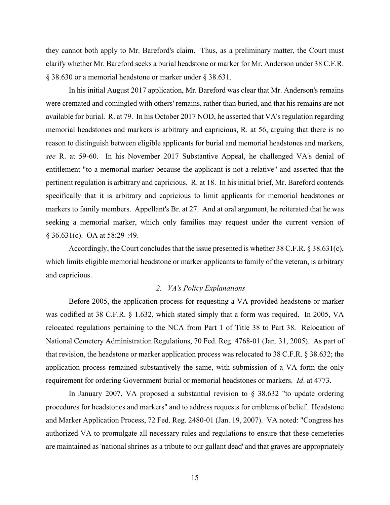they cannot both apply to Mr. Bareford's claim. Thus, as a preliminary matter, the Court must clarify whether Mr. Bareford seeks a burial headstone or marker for Mr. Anderson under 38 C.F.R. § 38.630 or a memorial headstone or marker under § 38.631.

In his initial August 2017 application, Mr. Bareford was clear that Mr. Anderson's remains were cremated and comingled with others' remains, rather than buried, and that his remains are not available for burial. R. at 79. In his October 2017 NOD, he asserted that VA's regulation regarding memorial headstones and markers is arbitrary and capricious, R. at 56, arguing that there is no reason to distinguish between eligible applicants for burial and memorial headstones and markers, *see* R. at 59-60. In his November 2017 Substantive Appeal, he challenged VA's denial of entitlement "to a memorial marker because the applicant is not a relative" and asserted that the pertinent regulation is arbitrary and capricious. R. at 18. In his initial brief, Mr. Bareford contends specifically that it is arbitrary and capricious to limit applicants for memorial headstones or markers to family members. Appellant's Br. at 27. And at oral argument, he reiterated that he was seeking a memorial marker, which only families may request under the current version of § 36.631(c). OA at 58:29-:49.

Accordingly, the Court concludes that the issue presented is whether 38 C.F.R. § 38.631(c), which limits eligible memorial headstone or marker applicants to family of the veteran, is arbitrary and capricious.

# *2. VA's Policy Explanations*

Before 2005, the application process for requesting a VA-provided headstone or marker was codified at 38 C.F.R. § 1.632, which stated simply that a form was required. In 2005, VA relocated regulations pertaining to the NCA from Part 1 of Title 38 to Part 38. Relocation of National Cemetery Administration Regulations, 70 Fed. Reg. 4768-01 (Jan. 31, 2005). As part of that revision, the headstone or marker application process was relocated to 38 C.F.R. § 38.632; the application process remained substantively the same, with submission of a VA form the only requirement for ordering Government burial or memorial headstones or markers. *Id*. at 4773.

In January 2007, VA proposed a substantial revision to § 38.632 "to update ordering procedures for headstones and markers" and to address requests for emblems of belief. Headstone and Marker Application Process, 72 Fed. Reg. 2480-01 (Jan. 19, 2007). VA noted: "Congress has authorized VA to promulgate all necessary rules and regulations to ensure that these cemeteries are maintained as 'national shrines as a tribute to our gallant dead' and that graves are appropriately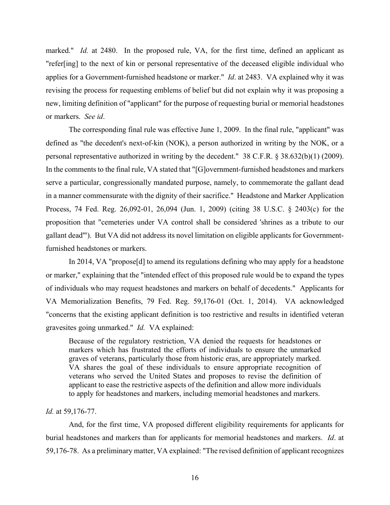marked." *Id.* at 2480. In the proposed rule, VA, for the first time, defined an applicant as "refer[ing] to the next of kin or personal representative of the deceased eligible individual who applies for a Government-furnished headstone or marker." *Id*. at 2483. VA explained why it was revising the process for requesting emblems of belief but did not explain why it was proposing a new, limiting definition of "applicant" for the purpose of requesting burial or memorial headstones or markers. *See id*.

The corresponding final rule was effective June 1, 2009. In the final rule, "applicant" was defined as "the decedent's next-of-kin (NOK), a person authorized in writing by the NOK, or a personal representative authorized in writing by the decedent." 38 C.F.R. § 38.632(b)(1) (2009). In the comments to the final rule, VA stated that "[G]overnment-furnished headstones and markers serve a particular, congressionally mandated purpose, namely, to commemorate the gallant dead in a manner commensurate with the dignity of their sacrifice." Headstone and Marker Application Process, 74 Fed. Reg. 26,092-01, 26,094 (Jun. 1, 2009) (citing 38 U.S.C. § 2403(c) for the proposition that "cemeteries under VA control shall be considered 'shrines as a tribute to our gallant dead'"). But VA did not address its novel limitation on eligible applicants for Governmentfurnished headstones or markers.

In 2014, VA "propose[d] to amend its regulations defining who may apply for a headstone or marker," explaining that the "intended effect of this proposed rule would be to expand the types of individuals who may request headstones and markers on behalf of decedents." Applicants for VA Memorialization Benefits, 79 Fed. Reg. 59,176-01 (Oct. 1, 2014). VA acknowledged "concerns that the existing applicant definition is too restrictive and results in identified veteran gravesites going unmarked." *Id.* VA explained:

Because of the regulatory restriction, VA denied the requests for headstones or markers which has frustrated the efforts of individuals to ensure the unmarked graves of veterans, particularly those from historic eras, are appropriately marked. VA shares the goal of these individuals to ensure appropriate recognition of veterans who served the United States and proposes to revise the definition of applicant to ease the restrictive aspects of the definition and allow more individuals to apply for headstones and markers, including memorial headstones and markers.

### *Id.* at 59,176-77.

And, for the first time, VA proposed different eligibility requirements for applicants for burial headstones and markers than for applicants for memorial headstones and markers. *Id*. at 59,176-78. As a preliminary matter, VA explained: "The revised definition of applicant recognizes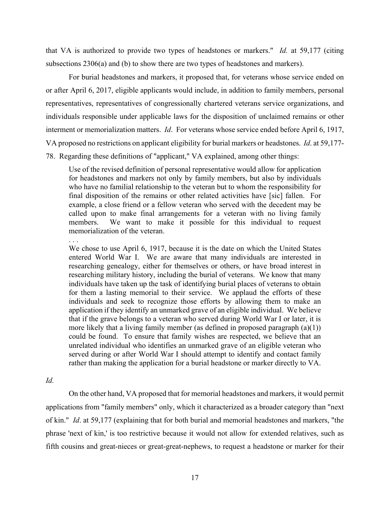that VA is authorized to provide two types of headstones or markers." *Id.* at 59,177 (citing subsections 2306(a) and (b) to show there are two types of headstones and markers).

For burial headstones and markers, it proposed that, for veterans whose service ended on or after April 6, 2017, eligible applicants would include, in addition to family members, personal representatives, representatives of congressionally chartered veterans service organizations, and individuals responsible under applicable laws for the disposition of unclaimed remains or other interment or memorialization matters. *Id*. For veterans whose service ended before April 6, 1917, VA proposed no restrictions on applicant eligibility for burial markers or headstones. *Id*. at 59,177- 78. Regarding these definitions of "applicant," VA explained, among other things:

Use of the revised definition of personal representative would allow for application for headstones and markers not only by family members, but also by individuals who have no familial relationship to the veteran but to whom the responsibility for final disposition of the remains or other related activities have [sic] fallen. For example, a close friend or a fellow veteran who served with the decedent may be called upon to make final arrangements for a veteran with no living family members. We want to make it possible for this individual to request memorialization of the veteran.

. . .

We chose to use April 6, 1917, because it is the date on which the United States entered World War I. We are aware that many individuals are interested in researching genealogy, either for themselves or others, or have broad interest in researching military history, including the burial of veterans. We know that many individuals have taken up the task of identifying burial places of veterans to obtain for them a lasting memorial to their service. We applaud the efforts of these individuals and seek to recognize those efforts by allowing them to make an application if they identify an unmarked grave of an eligible individual. We believe that if the grave belongs to a veteran who served during World War I or later, it is more likely that a living family member (as defined in proposed paragraph  $(a)(1)$ ) could be found. To ensure that family wishes are respected, we believe that an unrelated individual who identifies an unmarked grave of an eligible veteran who served during or after World War I should attempt to identify and contact family rather than making the application for a burial headstone or marker directly to VA.

*Id.* 

On the other hand, VA proposed that for memorial headstones and markers, it would permit applications from "family members" only, which it characterized as a broader category than "next of kin." *Id*. at 59,177 (explaining that for both burial and memorial headstones and markers, "the phrase 'next of kin,' is too restrictive because it would not allow for extended relatives, such as fifth cousins and great-nieces or great-great-nephews, to request a headstone or marker for their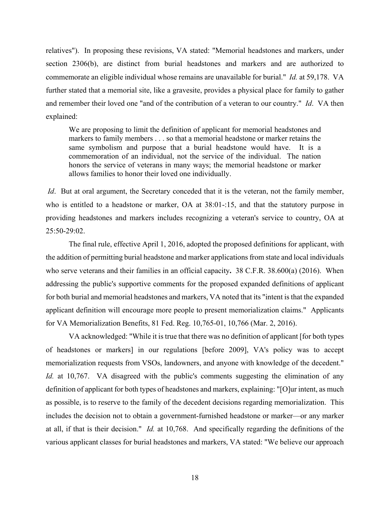relatives"). In proposing these revisions, VA stated: "Memorial headstones and markers, under section 2306(b), are distinct from burial headstones and markers and are authorized to commemorate an eligible individual whose remains are unavailable for burial." *Id.* at 59,178. VA further stated that a memorial site, like a gravesite, provides a physical place for family to gather and remember their loved one "and of the contribution of a veteran to our country." *Id*. VA then explained:

We are proposing to limit the definition of applicant for memorial headstones and markers to family members . . . so that a memorial headstone or marker retains the same symbolism and purpose that a burial headstone would have. It is a commemoration of an individual, not the service of the individual. The nation honors the service of veterans in many ways; the memorial headstone or marker allows families to honor their loved one individually.

*Id.* But at oral argument, the Secretary conceded that it is the veteran, not the family member, who is entitled to a headstone or marker, OA at 38:01-:15, and that the statutory purpose in providing headstones and markers includes recognizing a veteran's service to country, OA at 25:50-29:02.

The final rule, effective April 1, 2016, adopted the proposed definitions for applicant, with the addition of permitting burial headstone and marker applications from state and local individuals who serve veterans and their families in an official capacity**.** 38 C.F.R. 38.600(a) (2016). When addressing the public's supportive comments for the proposed expanded definitions of applicant for both burial and memorial headstones and markers, VA noted that its "intent is that the expanded applicant definition will encourage more people to present memorialization claims." Applicants for VA Memorialization Benefits, 81 Fed. Reg. 10,765-01, 10,766 (Mar. 2, 2016).

VA acknowledged: "While it is true that there was no definition of applicant [for both types of headstones or markers] in our regulations [before 2009], VA's policy was to accept memorialization requests from VSOs, landowners, and anyone with knowledge of the decedent." *Id.* at 10,767. VA disagreed with the public's comments suggesting the elimination of any definition of applicant for both types of headstones and markers, explaining: "[O]ur intent, as much as possible, is to reserve to the family of the decedent decisions regarding memorialization. This includes the decision not to obtain a government-furnished headstone or marker—or any marker at all, if that is their decision." *Id.* at 10,768. And specifically regarding the definitions of the various applicant classes for burial headstones and markers, VA stated: "We believe our approach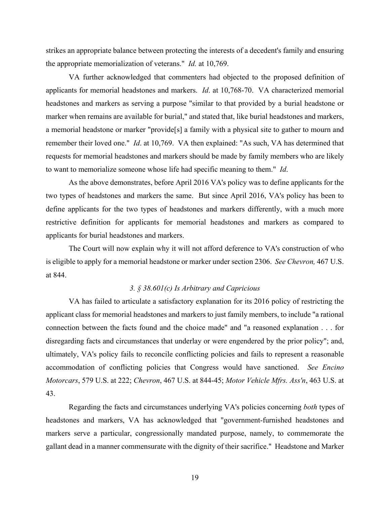strikes an appropriate balance between protecting the interests of a decedent's family and ensuring the appropriate memorialization of veterans." *Id.* at 10,769.

VA further acknowledged that commenters had objected to the proposed definition of applicants for memorial headstones and markers. *Id*. at 10,768-70. VA characterized memorial headstones and markers as serving a purpose "similar to that provided by a burial headstone or marker when remains are available for burial," and stated that, like burial headstones and markers, a memorial headstone or marker "provide[s] a family with a physical site to gather to mourn and remember their loved one." *Id*. at 10,769. VA then explained: "As such, VA has determined that requests for memorial headstones and markers should be made by family members who are likely to want to memorialize someone whose life had specific meaning to them." *Id*.

 As the above demonstrates, before April 2016 VA's policy was to define applicants for the two types of headstones and markers the same. But since April 2016, VA's policy has been to define applicants for the two types of headstones and markers differently, with a much more restrictive definition for applicants for memorial headstones and markers as compared to applicants for burial headstones and markers.

 The Court will now explain why it will not afford deference to VA's construction of who is eligible to apply for a memorial headstone or marker under section 2306. *See Chevron,* 467 U.S. at 844.

# *3. § 38.601(c) Is Arbitrary and Capricious*

VA has failed to articulate a satisfactory explanation for its 2016 policy of restricting the applicant class for memorial headstones and markers to just family members, to include "a rational connection between the facts found and the choice made" and "a reasoned explanation . . . for disregarding facts and circumstances that underlay or were engendered by the prior policy"; and, ultimately, VA's policy fails to reconcile conflicting policies and fails to represent a reasonable accommodation of conflicting policies that Congress would have sanctioned. *See Encino Motorcars*, 579 U.S. at 222; *Chevron*, 467 U.S. at 844-45; *Motor Vehicle Mfrs. Ass'n*, 463 U.S. at 43.

Regarding the facts and circumstances underlying VA's policies concerning *both* types of headstones and markers, VA has acknowledged that "government-furnished headstones and markers serve a particular, congressionally mandated purpose, namely, to commemorate the gallant dead in a manner commensurate with the dignity of their sacrifice." Headstone and Marker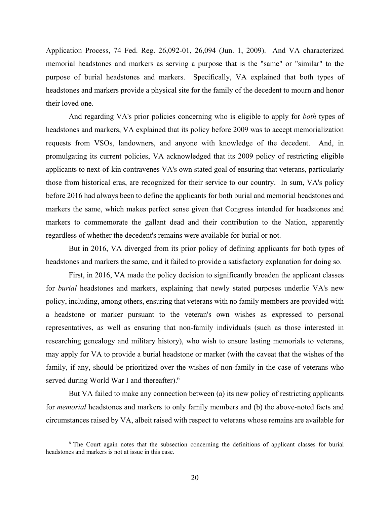Application Process, 74 Fed. Reg. 26,092-01, 26,094 (Jun. 1, 2009). And VA characterized memorial headstones and markers as serving a purpose that is the "same" or "similar" to the purpose of burial headstones and markers. Specifically, VA explained that both types of headstones and markers provide a physical site for the family of the decedent to mourn and honor their loved one.

And regarding VA's prior policies concerning who is eligible to apply for *both* types of headstones and markers, VA explained that its policy before 2009 was to accept memorialization requests from VSOs, landowners, and anyone with knowledge of the decedent. And, in promulgating its current policies, VA acknowledged that its 2009 policy of restricting eligible applicants to next-of-kin contravenes VA's own stated goal of ensuring that veterans, particularly those from historical eras, are recognized for their service to our country. In sum, VA's policy before 2016 had always been to define the applicants for both burial and memorial headstones and markers the same, which makes perfect sense given that Congress intended for headstones and markers to commemorate the gallant dead and their contribution to the Nation, apparently regardless of whether the decedent's remains were available for burial or not.

But in 2016, VA diverged from its prior policy of defining applicants for both types of headstones and markers the same, and it failed to provide a satisfactory explanation for doing so.

First, in 2016, VA made the policy decision to significantly broaden the applicant classes for *burial* headstones and markers, explaining that newly stated purposes underlie VA's new policy, including, among others, ensuring that veterans with no family members are provided with a headstone or marker pursuant to the veteran's own wishes as expressed to personal representatives, as well as ensuring that non-family individuals (such as those interested in researching genealogy and military history), who wish to ensure lasting memorials to veterans, may apply for VA to provide a burial headstone or marker (with the caveat that the wishes of the family, if any, should be prioritized over the wishes of non-family in the case of veterans who served during World War I and thereafter). $6$ 

But VA failed to make any connection between (a) its new policy of restricting applicants for *memorial* headstones and markers to only family members and (b) the above-noted facts and circumstances raised by VA, albeit raised with respect to veterans whose remains are available for

<sup>&</sup>lt;sup>6</sup> The Court again notes that the subsection concerning the definitions of applicant classes for burial headstones and markers is not at issue in this case.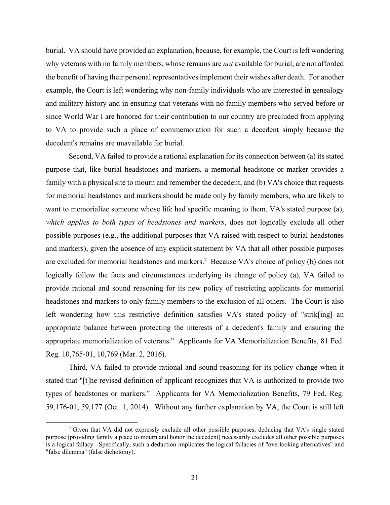burial. VA should have provided an explanation, because, for example, the Court is left wondering why veterans with no family members, whose remains are *not* available for burial, are not afforded the benefit of having their personal representatives implement their wishes after death. For another example, the Court is left wondering why non-family individuals who are interested in genealogy and military history and in ensuring that veterans with no family members who served before or since World War I are honored for their contribution to our country are precluded from applying to VA to provide such a place of commemoration for such a decedent simply because the decedent's remains are unavailable for burial.

Second, VA failed to provide a rational explanation for its connection between (a) its stated purpose that, like burial headstones and markers, a memorial headstone or marker provides a family with a physical site to mourn and remember the decedent, and (b) VA's choice that requests for memorial headstones and markers should be made only by family members, who are likely to want to memorialize someone whose life had specific meaning to them. VA's stated purpose (a), *which applies to both types of headstones and markers*, does not logically exclude all other possible purposes (e.g., the additional purposes that VA raised with respect to burial headstones and markers), given the absence of any explicit statement by VA that all other possible purposes are excluded for memorial headstones and markers.<sup>7</sup> Because VA's choice of policy (b) does not logically follow the facts and circumstances underlying its change of policy (a), VA failed to provide rational and sound reasoning for its new policy of restricting applicants for memorial headstones and markers to only family members to the exclusion of all others. The Court is also left wondering how this restrictive definition satisfies VA's stated policy of "strik[ing] an appropriate balance between protecting the interests of a decedent's family and ensuring the appropriate memorialization of veterans." Applicants for VA Memorialization Benefits, 81 Fed. Reg. 10,765-01, 10,769 (Mar. 2, 2016).

Third, VA failed to provide rational and sound reasoning for its policy change when it stated that "[t]he revised definition of applicant recognizes that VA is authorized to provide two types of headstones or markers." Applicants for VA Memorialization Benefits, 79 Fed. Reg. 59,176-01, 59,177 (Oct. 1, 2014). Without any further explanation by VA, the Court is still left

 $\begin{array}{c|c}\n\hline\n\end{array}$ <sup>7</sup> Given that VA did not expressly exclude all other possible purposes, deducing that VA's single stated purpose (providing family a place to mourn and honor the decedent) necessarily excludes all other possible purposes is a logical fallacy. Specifically, such a deduction implicates the logical fallacies of "overlooking alternatives" and "false dilemma" (false dichotomy).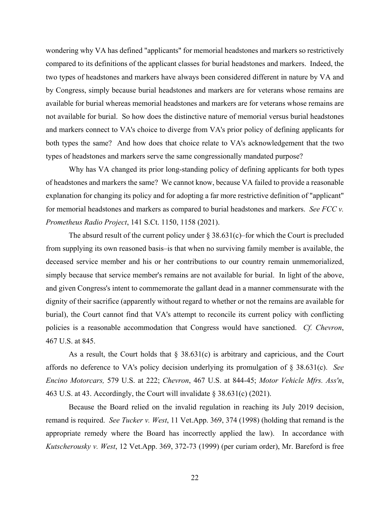wondering why VA has defined "applicants" for memorial headstones and markers so restrictively compared to its definitions of the applicant classes for burial headstones and markers. Indeed, the two types of headstones and markers have always been considered different in nature by VA and by Congress, simply because burial headstones and markers are for veterans whose remains are available for burial whereas memorial headstones and markers are for veterans whose remains are not available for burial. So how does the distinctive nature of memorial versus burial headstones and markers connect to VA's choice to diverge from VA's prior policy of defining applicants for both types the same? And how does that choice relate to VA's acknowledgement that the two types of headstones and markers serve the same congressionally mandated purpose?

Why has VA changed its prior long-standing policy of defining applicants for both types of headstones and markers the same? We cannot know, because VA failed to provide a reasonable explanation for changing its policy and for adopting a far more restrictive definition of "applicant" for memorial headstones and markers as compared to burial headstones and markers. *See FCC v. Prometheus Radio Project*, 141 S.Ct. 1150, 1158 (2021).

The absurd result of the current policy under  $\S 38.631(c)$ –for which the Court is precluded from supplying its own reasoned basis–is that when no surviving family member is available, the deceased service member and his or her contributions to our country remain unmemorialized, simply because that service member's remains are not available for burial. In light of the above, and given Congress's intent to commemorate the gallant dead in a manner commensurate with the dignity of their sacrifice (apparently without regard to whether or not the remains are available for burial), the Court cannot find that VA's attempt to reconcile its current policy with conflicting policies is a reasonable accommodation that Congress would have sanctioned. *Cf. Chevron*, 467 U.S. at 845.

As a result, the Court holds that  $\S$  38.631(c) is arbitrary and capricious, and the Court affords no deference to VA's policy decision underlying its promulgation of § 38.631(c). *See Encino Motorcars,* 579 U.S. at 222; *Chevron*, 467 U.S. at 844-45; *Motor Vehicle Mfrs. Ass'n*, 463 U.S. at 43. Accordingly, the Court will invalidate  $\S 38.631(c)$  (2021).

Because the Board relied on the invalid regulation in reaching its July 2019 decision, remand is required. *See Tucker v. West*, 11 Vet.App. 369, 374 (1998) (holding that remand is the appropriate remedy where the Board has incorrectly applied the law). In accordance with *Kutscherousky v. West*, 12 Vet.App. 369, 372-73 (1999) (per curiam order), Mr. Bareford is free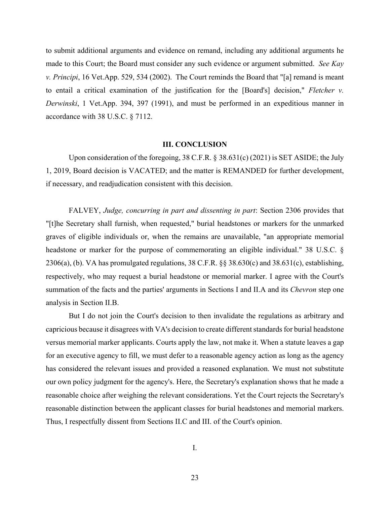to submit additional arguments and evidence on remand, including any additional arguments he made to this Court; the Board must consider any such evidence or argument submitted. *See Kay v. Principi*, 16 Vet.App. 529, 534 (2002). The Court reminds the Board that "[a] remand is meant to entail a critical examination of the justification for the [Board's] decision," *Fletcher v. Derwinski*, 1 Vet.App. 394, 397 (1991), and must be performed in an expeditious manner in accordance with 38 U.S.C. § 7112.

### **III. CONCLUSION**

Upon consideration of the foregoing, 38 C.F.R. § 38.631(c) (2021) is SET ASIDE; the July 1, 2019, Board decision is VACATED; and the matter is REMANDED for further development, if necessary, and readjudication consistent with this decision.

FALVEY, *Judge, concurring in part and dissenting in part*: Section 2306 provides that "[t]he Secretary shall furnish, when requested," burial headstones or markers for the unmarked graves of eligible individuals or, when the remains are unavailable, "an appropriate memorial headstone or marker for the purpose of commemorating an eligible individual." 38 U.S.C. § 2306(a), (b). VA has promulgated regulations, 38 C.F.R. §§ 38.630(c) and 38.631(c), establishing, respectively, who may request a burial headstone or memorial marker. I agree with the Court's summation of the facts and the parties' arguments in Sections I and II.A and its *Chevron* step one analysis in Section II.B.

But I do not join the Court's decision to then invalidate the regulations as arbitrary and capricious because it disagrees with VA's decision to create different standards for burial headstone versus memorial marker applicants. Courts apply the law, not make it. When a statute leaves a gap for an executive agency to fill, we must defer to a reasonable agency action as long as the agency has considered the relevant issues and provided a reasoned explanation. We must not substitute our own policy judgment for the agency's. Here, the Secretary's explanation shows that he made a reasonable choice after weighing the relevant considerations. Yet the Court rejects the Secretary's reasonable distinction between the applicant classes for burial headstones and memorial markers. Thus, I respectfully dissent from Sections II.C and III. of the Court's opinion.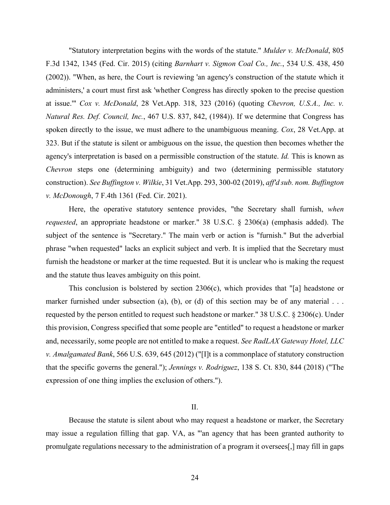"Statutory interpretation begins with the words of the statute." *Mulder v. McDonald*, 805 F.3d 1342, 1345 (Fed. Cir. 2015) (citing *Barnhart v. Sigmon Coal Co., Inc.*, 534 U.S. 438, 450 (2002)). "When, as here, the Court is reviewing 'an agency's construction of the statute which it administers,' a court must first ask 'whether Congress has directly spoken to the precise question at issue.'" *Cox v. McDonald*, 28 Vet.App. 318, 323 (2016) (quoting *Chevron, U.S.A., Inc. v. Natural Res. Def. Council, Inc.*, 467 U.S. 837, 842, (1984)). If we determine that Congress has spoken directly to the issue, we must adhere to the unambiguous meaning. *Cox*, 28 Vet.App. at 323. But if the statute is silent or ambiguous on the issue, the question then becomes whether the agency's interpretation is based on a permissible construction of the statute. *Id.* This is known as *Chevron* steps one (determining ambiguity) and two (determining permissible statutory construction). *See Buffington v. Wilkie*, 31 Vet.App. 293, 300-02 (2019), *aff'd sub. nom. Buffington v. McDonough*, 7 F.4th 1361 (Fed. Cir. 2021).

Here, the operative statutory sentence provides, "the Secretary shall furnish, *when requested*, an appropriate headstone or marker." 38 U.S.C. § 2306(a) (emphasis added). The subject of the sentence is "Secretary." The main verb or action is "furnish." But the adverbial phrase "when requested" lacks an explicit subject and verb. It is implied that the Secretary must furnish the headstone or marker at the time requested. But it is unclear who is making the request and the statute thus leaves ambiguity on this point.

This conclusion is bolstered by section 2306(c), which provides that "[a] headstone or marker furnished under subsection (a), (b), or (d) of this section may be of any material ... requested by the person entitled to request such headstone or marker." 38 U.S.C. § 2306(c). Under this provision, Congress specified that some people are "entitled" to request a headstone or marker and, necessarily, some people are not entitled to make a request. *See RadLAX Gateway Hotel, LLC v. Amalgamated Bank*, 566 U.S. 639, 645 (2012) ("[I]t is a commonplace of statutory construction that the specific governs the general."); *Jennings v. Rodriguez*, 138 S. Ct. 830, 844 (2018) ("The expression of one thing implies the exclusion of others.").

## II.

Because the statute is silent about who may request a headstone or marker, the Secretary may issue a regulation filling that gap. VA, as "'an agency that has been granted authority to promulgate regulations necessary to the administration of a program it oversees[,] may fill in gaps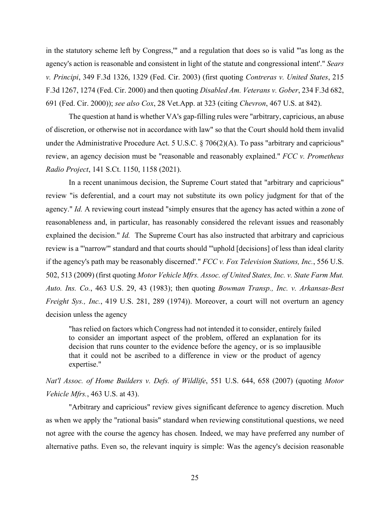in the statutory scheme left by Congress,'" and a regulation that does so is valid "'as long as the agency's action is reasonable and consistent in light of the statute and congressional intent'." *Sears v. Principi*, 349 F.3d 1326, 1329 (Fed. Cir. 2003) (first quoting *Contreras v. United States*, 215 F.3d 1267, 1274 (Fed. Cir. 2000) and then quoting *Disabled Am. Veterans v. Gober*, 234 F.3d 682, 691 (Fed. Cir. 2000)); *see also Cox*, 28 Vet.App. at 323 (citing *Chevron*, 467 U.S. at 842).

The question at hand is whether VA's gap-filling rules were "arbitrary, capricious, an abuse of discretion, or otherwise not in accordance with law" so that the Court should hold them invalid under the Administrative Procedure Act. 5 U.S.C. § 706(2)(A). To pass "arbitrary and capricious" review, an agency decision must be "reasonable and reasonably explained." *FCC v. Prometheus Radio Project*, 141 S.Ct. 1150, 1158 (2021).

In a recent unanimous decision, the Supreme Court stated that "arbitrary and capricious" review "is deferential, and a court may not substitute its own policy judgment for that of the agency." *Id.* A reviewing court instead "simply ensures that the agency has acted within a zone of reasonableness and, in particular, has reasonably considered the relevant issues and reasonably explained the decision." *Id.* The Supreme Court has also instructed that arbitrary and capricious review is a "'narrow'" standard and that courts should "'uphold [decisions] of less than ideal clarity if the agency's path may be reasonably discerned'." *FCC v. Fox Television Stations, Inc.*, 556 U.S. 502, 513 (2009) (first quoting *Motor Vehicle Mfrs. Assoc. of United States, Inc. v. State Farm Mut. Auto. Ins. Co.*, 463 U.S. 29, 43 (1983); then quoting *Bowman Transp., Inc. v. Arkansas-Best Freight Sys., Inc.*, 419 U.S. 281, 289 (1974)). Moreover, a court will not overturn an agency decision unless the agency

"has relied on factors which Congress had not intended it to consider, entirely failed to consider an important aspect of the problem, offered an explanation for its decision that runs counter to the evidence before the agency, or is so implausible that it could not be ascribed to a difference in view or the product of agency expertise."

*Nat'l Assoc. of Home Builders v. Defs. of Wildlife*, 551 U.S. 644, 658 (2007) (quoting *Motor Vehicle Mfrs.*, 463 U.S. at 43).

 "Arbitrary and capricious" review gives significant deference to agency discretion. Much as when we apply the "rational basis" standard when reviewing constitutional questions, we need not agree with the course the agency has chosen. Indeed, we may have preferred any number of alternative paths. Even so, the relevant inquiry is simple: Was the agency's decision reasonable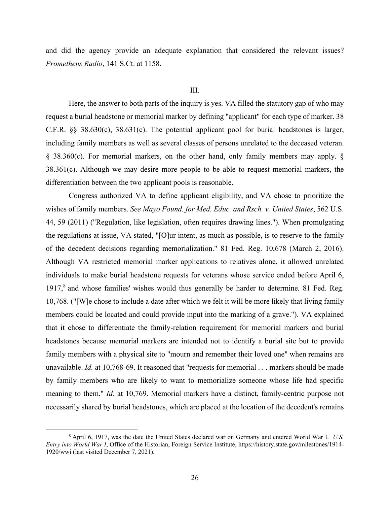and did the agency provide an adequate explanation that considered the relevant issues? *Prometheus Radio*, 141 S.Ct. at 1158.

### III.

 Here, the answer to both parts of the inquiry is yes. VA filled the statutory gap of who may request a burial headstone or memorial marker by defining "applicant" for each type of marker. 38 C.F.R. §§ 38.630(c), 38.631(c). The potential applicant pool for burial headstones is larger, including family members as well as several classes of persons unrelated to the deceased veteran. § 38.360(c). For memorial markers, on the other hand, only family members may apply. §  $38.361(c)$ . Although we may desire more people to be able to request memorial markers, the differentiation between the two applicant pools is reasonable.

Congress authorized VA to define applicant eligibility, and VA chose to prioritize the wishes of family members. *See Mayo Found. for Med. Educ. and Rsch. v. United States*, 562 U.S. 44, 59 (2011) ("Regulation, like legislation, often requires drawing lines."). When promulgating the regulations at issue, VA stated, "[O]ur intent, as much as possible, is to reserve to the family of the decedent decisions regarding memorialization." 81 Fed. Reg. 10,678 (March 2, 2016). Although VA restricted memorial marker applications to relatives alone, it allowed unrelated individuals to make burial headstone requests for veterans whose service ended before April 6, 1917,<sup>8</sup> and whose families' wishes would thus generally be harder to determine. 81 Fed. Reg. 10,768. ("[W]e chose to include a date after which we felt it will be more likely that living family members could be located and could provide input into the marking of a grave."). VA explained that it chose to differentiate the family-relation requirement for memorial markers and burial headstones because memorial markers are intended not to identify a burial site but to provide family members with a physical site to "mourn and remember their loved one" when remains are unavailable. *Id.* at 10,768-69. It reasoned that "requests for memorial . . . markers should be made by family members who are likely to want to memorialize someone whose life had specific meaning to them." *Id.* at 10,769. Memorial markers have a distinct, family-centric purpose not necessarily shared by burial headstones, which are placed at the location of the decedent's remains

 $\frac{1}{8}$  April 6, 1917, was the date the United States declared war on Germany and entered World War I. *U.S. Entry into World War I*, Office of the Historian, Foreign Service Institute, https://history.state.gov/milestones/1914- 1920/wwi (last visited December 7, 2021).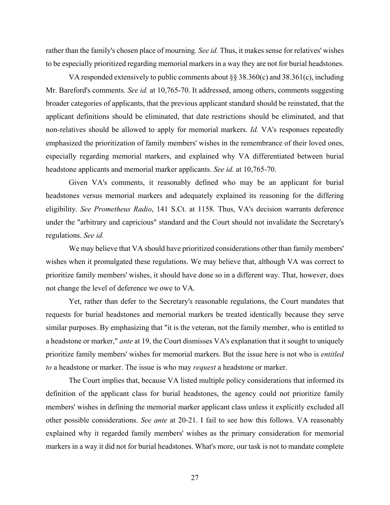rather than the family's chosen place of mourning. *See id.* Thus, it makes sense for relatives' wishes to be especially prioritized regarding memorial markers in a way they are not for burial headstones.

VA responded extensively to public comments about  $\S$ § 38.360(c) and 38.361(c), including Mr. Bareford's comments. *See id.* at 10,765-70. It addressed, among others, comments suggesting broader categories of applicants, that the previous applicant standard should be reinstated, that the applicant definitions should be eliminated, that date restrictions should be eliminated, and that non-relatives should be allowed to apply for memorial markers. *Id.* VA's responses repeatedly emphasized the prioritization of family members' wishes in the remembrance of their loved ones, especially regarding memorial markers, and explained why VA differentiated between burial headstone applicants and memorial marker applicants. *See id.* at 10,765-70.

Given VA's comments, it reasonably defined who may be an applicant for burial headstones versus memorial markers and adequately explained its reasoning for the differing eligibility. *See Prometheus Radio*, 141 S.Ct. at 1158. Thus, VA's decision warrants deference under the "arbitrary and capricious" standard and the Court should not invalidate the Secretary's regulations. *See id.* 

We may believe that VA should have prioritized considerations other than family members' wishes when it promulgated these regulations. We may believe that, although VA was correct to prioritize family members' wishes, it should have done so in a different way. That, however, does not change the level of deference we owe to VA.

Yet, rather than defer to the Secretary's reasonable regulations, the Court mandates that requests for burial headstones and memorial markers be treated identically because they serve similar purposes. By emphasizing that "it is the veteran, not the family member, who is entitled to a headstone or marker," *ante* at 19, the Court dismisses VA's explanation that it sought to uniquely prioritize family members' wishes for memorial markers. But the issue here is not who is *entitled to* a headstone or marker. The issue is who may *request* a headstone or marker.

The Court implies that, because VA listed multiple policy considerations that informed its definition of the applicant class for burial headstones, the agency could not prioritize family members' wishes in defining the memorial marker applicant class unless it explicitly excluded all other possible considerations. *See ante* at 20-21. I fail to see how this follows. VA reasonably explained why it regarded family members' wishes as the primary consideration for memorial markers in a way it did not for burial headstones. What's more, our task is not to mandate complete